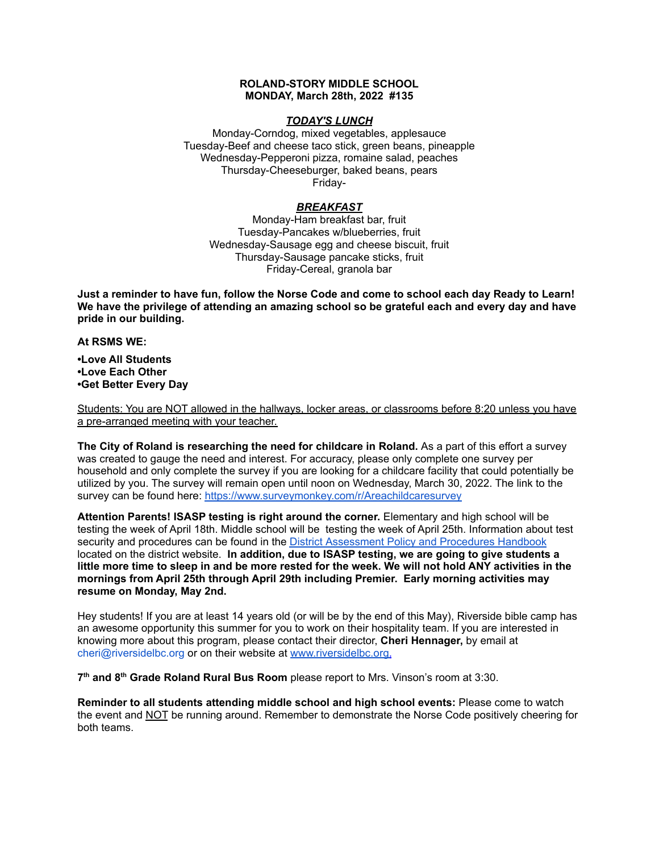### **ROLAND-STORY MIDDLE SCHOOL MONDAY, March 28th, 2022 #135**

### *TODAY'S LUNCH*

Monday-Corndog, mixed vegetables, applesauce Tuesday-Beef and cheese taco stick, green beans, pineapple Wednesday-Pepperoni pizza, romaine salad, peaches Thursday-Cheeseburger, baked beans, pears Friday-

# *BREAKFAST*

Monday-Ham breakfast bar, fruit Tuesday-Pancakes w/blueberries, fruit Wednesday-Sausage egg and cheese biscuit, fruit Thursday-Sausage pancake sticks, fruit Friday-Cereal, granola bar

Just a reminder to have fun, follow the Norse Code and come to school each day Ready to Learn! **We have the privilege of attending an amazing school so be grateful each and every day and have pride in our building.**

#### **At RSMS WE:**

**•Love All Students •Love Each Other •Get Better Every Day**

Students: You are NOT allowed in the hallways, locker areas, or classrooms before 8:20 unless you have a pre-arranged meeting with your teacher.

**The City of Roland is researching the need for childcare in Roland.** As a part of this effort a survey was created to gauge the need and interest. For accuracy, please only complete one survey per household and only complete the survey if you are looking for a childcare facility that could potentially be utilized by you. The survey will remain open until noon on Wednesday, March 30, 2022. The link to the survey can be found here: <https://www.surveymonkey.com/r/Areachildcaresurvey>

**Attention Parents! ISASP testing is right around the corner.** Elementary and high school will be testing the week of April 18th. Middle school will be testing the week of April 25th. Information about test security and procedures can be found in the District [Assessment](https://rolandstory.school/media/Michelle%20Soderstrum/RSCSD_District_Assessment_Poli%20-%20Copy%203.pdf) Policy and Procedures Handbook located on the district website. **In addition, due to ISASP testing, we are going to give students a** little more time to sleep in and be more rested for the week. We will not hold ANY activities in the **mornings from April 25th through April 29th including Premier. Early morning activities may resume on Monday, May 2nd.**

Hey students! If you are at least 14 years old (or will be by the end of this May), Riverside bible camp has an awesome opportunity this summer for you to work on their hospitality team. If you are interested in knowing more about this program, please contact their director, **Cheri Hennager,** by email at cheri@riversidelbc.org or on their website at [www.riversidelbc.org.](http://www.riversidelbc.org/)

**7 th and 8 th Grade Roland Rural Bus Room** please report to Mrs. Vinson's room at 3:30.

**Reminder to all students attending middle school and high school events:** Please come to watch the event and NOT be running around. Remember to demonstrate the Norse Code positively cheering for both teams.